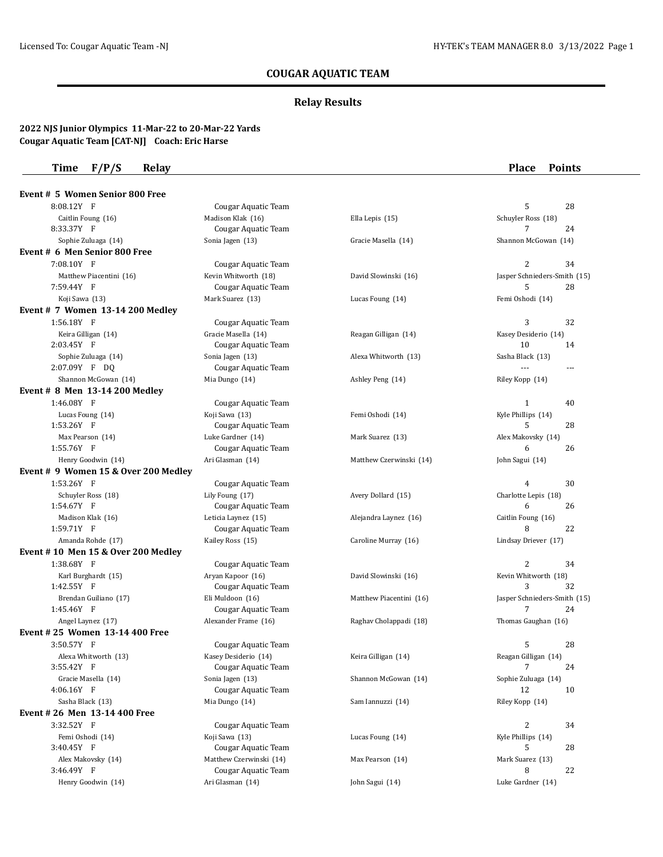## **COUGAR AQUATIC TEAM**

## **Relay Results**

### **2022 NJS Junior Olympics 11-Mar-22 to 20-Mar-22 Yards Cougar Aquatic Team [CAT-NJ] Coach: Eric Harse**

## **Time F/P/S Relay Place Points**

| Event # 5 Women Senior 800 Free      |                                         |                         |                                         |
|--------------------------------------|-----------------------------------------|-------------------------|-----------------------------------------|
| 8:08.12Y F                           | Cougar Aquatic Team                     |                         | 5<br>28                                 |
| Caitlin Foung (16)                   | Madison Klak (16)                       | Ella Lepis (15)         | Schuyler Ross (18)                      |
| 8:33.37Y F                           | Cougar Aquatic Team                     |                         | 24<br>7                                 |
| Sophie Zuluaga (14)                  | Sonia Jagen (13)                        | Gracie Masella (14)     | Shannon McGowan (14)                    |
| Event # 6 Men Senior 800 Free        |                                         |                         |                                         |
| 7:08.10Y F                           | Cougar Aquatic Team                     |                         | $\overline{2}$<br>34                    |
| Matthew Piacentini (16)              | Kevin Whitworth (18)                    | David Slowinski (16)    | Jasper Schnieders-Smith (15)            |
| 7:59.44Y F                           | Cougar Aquatic Team                     |                         | 5<br>28                                 |
| Koji Sawa (13)                       | Mark Suarez (13)                        | Lucas Foung (14)        | Femi Oshodi (14)                        |
| Event # 7 Women 13-14 200 Medley     |                                         |                         |                                         |
| 1:56.18Y F                           | Cougar Aquatic Team                     |                         | 3<br>32                                 |
| Keira Gilligan (14)                  | Gracie Masella (14)                     | Reagan Gilligan (14)    | Kasey Desiderio (14)                    |
| 2:03.45Y F                           | Cougar Aquatic Team                     |                         | 10<br>14                                |
| Sophie Zuluaga (14)                  | Sonia Jagen (13)                        | Alexa Whitworth (13)    | Sasha Black (13)                        |
| 2:07.09Y F DQ                        | Cougar Aquatic Team                     |                         | $- - -$<br>$- -$                        |
| Shannon McGowan (14)                 | Mia Dungo (14)                          | Ashley Peng (14)        | Riley Kopp (14)                         |
| Event # 8 Men 13-14 200 Medley       |                                         |                         |                                         |
| 1:46.08Y F                           | Cougar Aquatic Team                     |                         | 1<br>40                                 |
| Lucas Foung (14)                     | Koji Sawa (13)                          | Femi Oshodi (14)        | Kyle Phillips (14)                      |
| 1:53.26Y F                           | Cougar Aquatic Team                     |                         | 5<br>28                                 |
| Max Pearson (14)                     | Luke Gardner (14)                       | Mark Suarez (13)        | Alex Makovsky (14)                      |
| 1:55.76Y F                           | Cougar Aquatic Team                     |                         | 26<br>6                                 |
| Henry Goodwin (14)                   | Ari Glasman (14)                        | Matthew Czerwinski (14) | John Sagui (14)                         |
| Event # 9 Women 15 & Over 200 Medley |                                         |                         |                                         |
| 1:53.26Y F                           | Cougar Aquatic Team                     |                         | 30<br>4                                 |
| Schuyler Ross (18)                   | Lily Foung (17)                         | Avery Dollard (15)      | Charlotte Lepis (18)                    |
| 1:54.67Y F                           | Cougar Aquatic Team                     |                         | 6<br>26                                 |
| Madison Klak (16)                    | Leticia Laynez (15)                     | Alejandra Laynez (16)   | Caitlin Foung (16)                      |
| 1:59.71Y F                           | Cougar Aquatic Team                     |                         | 22<br>8                                 |
| Amanda Rohde (17)                    | Kailey Ross (15)                        | Caroline Murray (16)    | Lindsay Driever (17)                    |
| Event #10 Men 15 & Over 200 Medley   |                                         |                         |                                         |
| 1:38.68Y F                           | Cougar Aquatic Team                     |                         | 2<br>34                                 |
| Karl Burghardt (15)                  | Aryan Kapoor (16)                       | David Slowinski (16)    | Kevin Whitworth (18)<br>32              |
| 1:42.55Y F                           | Cougar Aquatic Team                     |                         | 3                                       |
| Brendan Guiliano (17)<br>1:45.46Y F  | Eli Muldoon (16)<br>Cougar Aquatic Team | Matthew Piacentini (16) | Jasper Schnieders-Smith (15)<br>24<br>7 |
| Angel Laynez (17)                    | Alexander Frame (16)                    | Raghav Cholappadi (18)  | Thomas Gaughan (16)                     |
| Event # 25 Women 13-14 400 Free      |                                         |                         |                                         |
| 3:50.57Y F                           | Cougar Aquatic Team                     |                         | 5<br>28                                 |
| Alexa Whitworth (13)                 | Kasey Desiderio (14)                    | Keira Gilligan (14)     | Reagan Gilligan (14)                    |
| 3:55.42Y F                           | Cougar Aquatic Team                     |                         | 7<br>24                                 |
| Gracie Masella (14)                  | Sonia Jagen (13)                        | Shannon McGowan (14)    | Sophie Zuluaga (14)                     |
| 4:06.16Y F                           | Cougar Aquatic Team                     |                         | 12<br>10                                |
| Sasha Black (13)                     | Mia Dungo (14)                          | Sam Iannuzzi (14)       | Riley Kopp (14)                         |
| Event # 26 Men 13-14 400 Free        |                                         |                         |                                         |
| 3:32.52Y F                           | Cougar Aquatic Team                     |                         | 2<br>34                                 |
| Femi Oshodi (14)                     | Koji Sawa (13)                          | Lucas Foung (14)        | Kyle Phillips (14)                      |
| 3:40.45Y F                           | Cougar Aquatic Team                     |                         | 5<br>28                                 |
| Alex Makovsky (14)                   | Matthew Czerwinski (14)                 | Max Pearson (14)        | Mark Suarez (13)                        |
| 3:46.49Y F                           | Cougar Aquatic Team                     |                         | 8<br>22                                 |
| Henry Goodwin (14)                   | Ari Glasman (14)                        | John Sagui (14)         | Luke Gardner (14)                       |
|                                      |                                         |                         |                                         |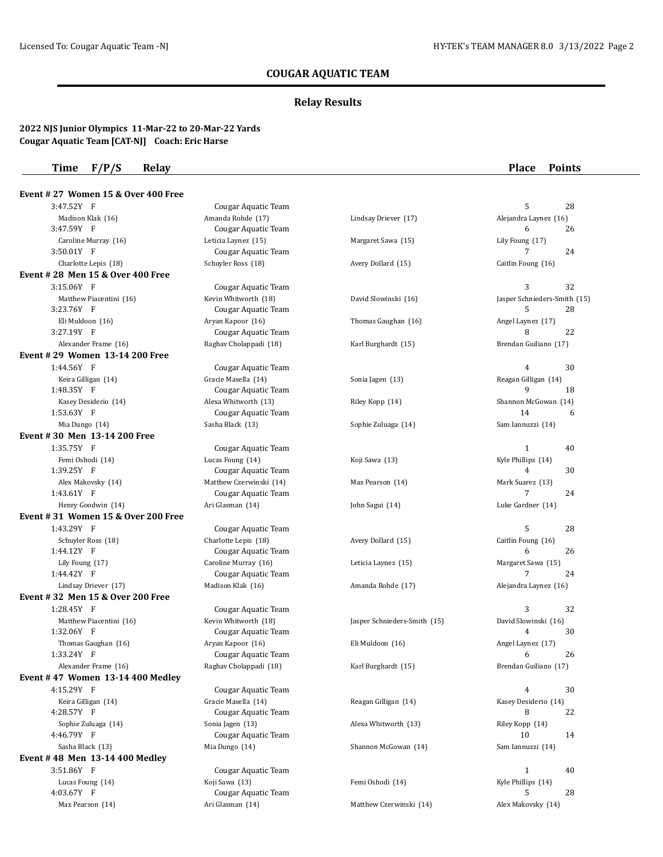# **COUGAR AQUATIC TEAM**

## **Relay Results**

### **2022 NJS Junior Olympics 11-Mar-22 to 20-Mar-22 Yards Cougar Aquatic Team [CAT-NJ] Coach: Eric Harse**

## **Time F/P/S Relay Place Points**

| Event #27 Women 15 & Over 400 Free |                         |                              |                              |
|------------------------------------|-------------------------|------------------------------|------------------------------|
| 3:47.52Y F                         | Cougar Aquatic Team     |                              | 5<br>28                      |
| Madison Klak (16)                  | Amanda Rohde (17)       | Lindsay Driever (17)         | Alejandra Laynez (16)        |
| 3:47.59Y F                         | Cougar Aquatic Team     |                              | 6<br>26                      |
| Caroline Murray (16)               | Leticia Laynez (15)     | Margaret Sawa (15)           | Lily Foung (17)              |
| 3:50.01Y F                         | Cougar Aquatic Team     |                              | 7<br>24                      |
| Charlotte Lepis (18)               | Schuyler Ross (18)      | Avery Dollard (15)           | Caitlin Foung (16)           |
| Event #28 Men 15 & Over 400 Free   |                         |                              |                              |
| 3:15.06Y F                         | Cougar Aquatic Team     |                              | 32<br>3                      |
| Matthew Piacentini (16)            | Kevin Whitworth (18)    | David Slowinski (16)         | Jasper Schnieders-Smith (15) |
| 3:23.76Y F                         | Cougar Aquatic Team     |                              | 5<br>28                      |
| Eli Muldoon (16)                   | Aryan Kapoor (16)       | Thomas Gaughan (16)          | Angel Laynez (17)            |
| 3:27.19Y F                         | Cougar Aquatic Team     |                              | 8<br>22                      |
| Alexander Frame (16)               | Raghav Cholappadi (18)  | Karl Burghardt (15)          | Brendan Guiliano (17)        |
| Event # 29 Women 13-14 200 Free    |                         |                              |                              |
| 1:44.56Y F                         | Cougar Aquatic Team     |                              | $\overline{4}$<br>30         |
| Keira Gilligan (14)                | Gracie Masella (14)     | Sonia Jagen (13)             | Reagan Gilligan (14)         |
| 1:48.35Y F                         | Cougar Aquatic Team     |                              | 9<br>18                      |
| Kasey Desiderio (14)               | Alexa Whitworth (13)    | Riley Kopp (14)              | Shannon McGowan (14)         |
| 1:53.63Y F                         | Cougar Aquatic Team     |                              | 14<br>6                      |
| Mia Dungo (14)                     | Sasha Black (13)        | Sophie Zuluaga (14)          | Sam Iannuzzi (14)            |
| Event #30 Men 13-14 200 Free       |                         |                              |                              |
| 1:35.75Y F                         | Cougar Aquatic Team     |                              | $\mathbf{1}$<br>40           |
| Femi Oshodi (14)                   | Lucas Foung (14)        | Koji Sawa (13)               | Kyle Phillips (14)           |
| 1:39.25Y F                         | Cougar Aquatic Team     |                              | 4<br>30                      |
| Alex Makovsky (14)                 | Matthew Czerwinski (14) | Max Pearson (14)             | Mark Suarez (13)             |
| 1:43.61Y F                         | Cougar Aquatic Team     |                              | 7<br>24                      |
| Henry Goodwin (14)                 | Ari Glasman (14)        | John Sagui (14)              | Luke Gardner (14)            |
| Event #31 Women 15 & Over 200 Free |                         |                              |                              |
| 1:43.29Y F                         | Cougar Aquatic Team     |                              | 5<br>28                      |
| Schuyler Ross (18)                 | Charlotte Lepis (18)    | Avery Dollard (15)           | Caitlin Foung (16)           |
| 1:44.12Y F                         | Cougar Aquatic Team     |                              | 6<br>26                      |
| Lily Foung (17)                    | Caroline Murray (16)    | Leticia Laynez (15)          | Margaret Sawa (15)           |
| 1:44.42Y F                         | Cougar Aquatic Team     |                              | 7<br>24                      |
| Lindsay Driever (17)               | Madison Klak (16)       | Amanda Rohde (17)            | Alejandra Laynez (16)        |
| Event # 32 Men 15 & Over 200 Free  |                         |                              |                              |
| 1:28.45Y F                         | Cougar Aquatic Team     |                              | 3<br>32                      |
| Matthew Piacentini (16)            | Kevin Whitworth (18)    | Jasper Schnieders-Smith (15) | David Slowinski (16)         |
| 1:32.06Y F                         | Cougar Aquatic Team     |                              | 4<br>30                      |
| Thomas Gaughan (16)                | Aryan Kapoor (16)       | Eli Muldoon (16)             | Angel Laynez (17)            |
| 1:33.24Y F                         | Cougar Aquatic Team     |                              | 6<br>26                      |
| Alexander Frame (16)               | Raghav Cholappadi (18)  | Karl Burghardt (15)          | Brendan Guiliano (17)        |
| Event #47 Women 13-14 400 Medley   |                         |                              |                              |
| 4:15.29Y F                         | Cougar Aquatic Team     |                              | 4<br>30                      |
| Keira Gilligan (14)                | Gracie Masella (14)     | Reagan Gilligan (14)         | Kasey Desiderio (14)         |
| 4:28.57Y F                         | Cougar Aquatic Team     |                              | 8<br>22                      |
| Sophie Zuluaga (14)                | Sonia Jagen (13)        | Alexa Whitworth (13)         | Riley Kopp (14)              |
| 4:46.79Y F                         | Cougar Aquatic Team     |                              | 10<br>14                     |
| Sasha Black (13)                   | Mia Dungo (14)          | Shannon McGowan (14)         | Sam Iannuzzi (14)            |
| Event #48 Men 13-14 400 Medley     |                         |                              |                              |
| 3:51.86Y F                         | Cougar Aquatic Team     |                              | $\mathbf{1}$<br>40           |
| Lucas Foung (14)                   | Koji Sawa (13)          | Femi Oshodi (14)             | Kyle Phillips (14)           |
| 4:03.67Y F                         | Cougar Aquatic Team     |                              | 5<br>28                      |
| Max Pearson (14)                   | Ari Glasman (14)        | Matthew Czerwinski (14)      | Alex Makovsky (14)           |
|                                    |                         |                              |                              |